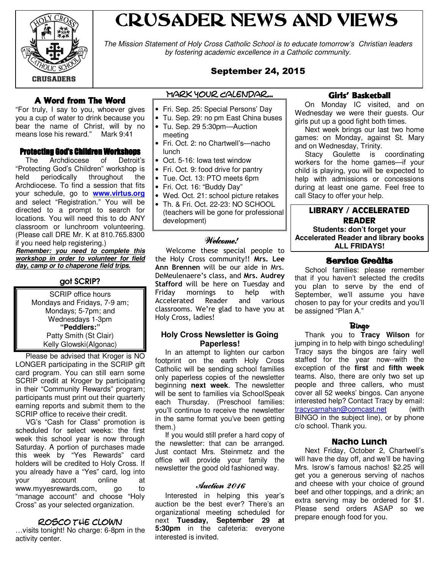

# CRUSADER NEWS AND VIEWS

The Mission Statement of Holy Cross Catholic School is to educate tomorrow's Christian leaders by fostering academic excellence in a Catholic community.

# September 24, 2015

# A Word from The Word

"For truly, I say to you, whoever gives you a cup of water to drink because you bear the name of Christ, will by no means lose his reward." Mark 9:41

#### **Protecting God's Children Workshops**

 The Archdiocese of Detroit's "Protecting God's Children" workshop is throughout Archdiocese. To find a session that fits your schedule, go to **www.virtus.org** and select "Registration." You will be directed to a prompt to search for locations. You will need this to do ANY classroom or lunchroom volunteering. (Please call DRE Mr. K at 810.765.8300 if you need help registering.)

**Remember: you need to complete this workshop in order to volunteer for field day, camp or to chaperone field trips.**

## got SCRIP?

SCRIP office hours Mondays and Fridays, 7-9 am; Mondays; 5-7pm; and Wednesdays 1-3pm **"Peddlers:"** Patty Smith (St Clair) Kelly Glowski(Algonac)

 Please be advised that Kroger is NO LONGER participating in the SCRIP gift card program. You can still earn some SCRIP credit at Kroger by participating in their "Community Rewards" program; participants must print out their quarterly earning reports and submit them to the SCRIP office to receive their credit.

 VG's "Cash for Class" promotion is scheduled for select weeks: the first week this school year is now through Saturday. A portion of purchases made this week by "Yes Rewards" card holders will be credited to Holy Cross. If you already have a "Yes" card, log into your account online at www.myyesrewards.com, go to "manage account" and choose "Holy Cross" as your selected organization.

#### rosco the clown

…visits tonight! No charge: 6-8pm in the activity center.

- Mark Your Calendar...
- Fri. Sep. 25: Special Persons' Day
- Tu. Sep. 29: no pm East China buses
- Tu. Sep. 29 5:30pm—Auction meeting
- Fri. Oct. 2: no Chartwell's—nacho lunch
- Oct. 5-16: Iowa test window
- Fri. Oct. 9: food drive for pantry
- Tue. Oct. 13: PTO meets 6pm
- Fri. Oct. 16: "Buddy Day"
- Wed. Oct. 21: school picture retakes
- Th. & Fri. Oct. 22-23: NO SCHOOL (teachers will be gone for professional development)

#### Welcome!

 Welcome these special people to the Holy Cross community!! Mrs. Lee Ann Brennen will be our aide in Mrs. DeMeulenaere's class, and Mrs. Audrey Stafford will be here on Tuesday and Friday mornings to help with Accelerated Reader and various classrooms. We're glad to have you at Holy Cross, ladies!

#### **Holy Cross Newsletter is Going Paperless!**

 In an attempt to lighten our carbon footprint on the earth Holy Cross Catholic will be sending school families only paperless copies of the newsletter beginning **next week**. The newsletter will be sent to families via SchoolSpeak each Thursday. (Preschool families: you'll continue to receive the newsletter in the same format you've been getting them.)

 If you would still prefer a hard copy of the newsletter: that can be arranged. Just contact Mrs. Steinmetz and the office will provide your family the newsletter the good old fashioned way.

#### Auction 2016

 Interested in helping this year's auction be the best ever? There's an organizational meeting scheduled for next **Tuesday, September 29 at 5:30pm** in the cafeteria: everyone interested is invited.

### Girls' Basketball

 On Monday IC visited, and on Wednesday we were their guests. Our girls put up a good fight both times.

 Next week brings our last two home games: on Monday, against St. Mary and on Wednesday, Trinity.

 Stacy Goulette is coordinating workers for the home games—if your child is playing, you will be expected to help with admissions or concessions during at least one game. Feel free to call Stacy to offer your help.

#### LIBRARY / ACCELERATED READER **Students: don't forget your Accelerated Reader and library books ALL FRIDAYS!**

#### Service Credits

 School families: please remember that if you haven't selected the credits you plan to serve by the end of September, we'll assume you have chosen to pay for your credits and you'll be assigned "Plan A."

#### Bingo

 Thank you to **Tracy Wilson** for jumping in to help with bingo scheduling! Tracy says the bingos are fairy well staffed for the year now--with the exception of the **first** and **fifth week** teams. Also, there are only two set up people and three callers, who must cover all 52 weeks' bingos. Can anyone interested help? Contact Tracy by email: tracycarnahan@comcast.net (with BINGO in the subject line), or by phone c/o school. Thank you.

#### Nacho Lunch

 Next Friday, October 2, Chartwell's will have the day off, and we'll be having Mrs. Isrow's famous nachos! \$2.25 will get you a generous serving of nachos and cheese with your choice of ground beef and other toppings, and a drink; an extra serving may be ordered for \$1. Please send orders ASAP so we prepare enough food for you.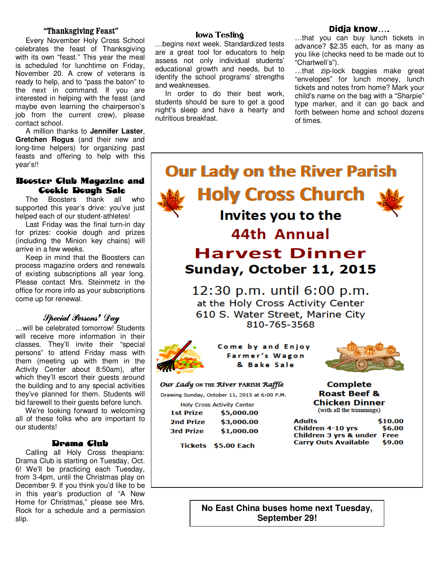#### "Thanksgiving Feast"

 Every November Holy Cross School celebrates the feast of Thanksgiving with its own "feast." This year the meal is scheduled for lunchtime on Friday, November 20. A crew of veterans is ready to help, and to "pass the baton" to the next in command. If you are interested in helping with the feast (and maybe even learning the chairperson's job from the current crew), please contact school.

 A million thanks to **Jennifer Laster**, **Gretchen Rogus** (and their new and long-time helpers) for organizing past feasts and offering to help with this year's!!

### Booster Club Magazine and **Cookie Dough Sale**

 The Boosters thank all who supported this year's drive: you've just helped each of our student-athletes!

 Last Friday was the final turn-in day for prizes: cookie dough and prizes (including the Minion key chains) will arrive in a few weeks.

 Keep in mind that the Boosters can process magazine orders and renewals of existing subscriptions all year long. Please contact Mrs. Steinmetz in the office for more info as your subscriptions come up for renewal.

# Special Persons' Day

…will be celebrated tomorrow! Students will receive more information in their classes. They'll invite their "special persons" to attend Friday mass with them (meeting up with them in the Activity Center about 8:50am), after which they'll escort their guests around the building and to any special activities they've planned for them. Students will bid farewell to their guests before lunch.

 We're looking forward to welcoming all of these folks who are important to our students!

#### Drama Club

 Calling all Holy Cross thespians: Drama Club is starting on Tuesday, Oct. 6! We'll be practicing each Tuesday, from 3-4pm, until the Christmas play on December 9. If you think you'd like to be in this year's production of "A New Home for Christmas," please see Mrs. Rock for a schedule and a permission slip.

#### Iowa Testing

…begins next week. Standardized tests are a great tool for educators to help assess not only individual students' educational growth and needs, but to identify the school programs' strengths and weaknesses.

 In order to do their best work, students should be sure to get a good night's sleep and have a hearty and nutritious breakfast.

#### Didja know….

…that you can buy lunch tickets in advance? \$2.35 each, for as many as you like (checks need to be made out to "Chartwell's").

…that zip-lock baggies make great "envelopes" for lunch money, lunch tickets and notes from home? Mark your child's name on the bag with a "Sharpie" type marker, and it can go back and forth between home and school dozens of times.



**No East China buses home next Tuesday, September 29!**